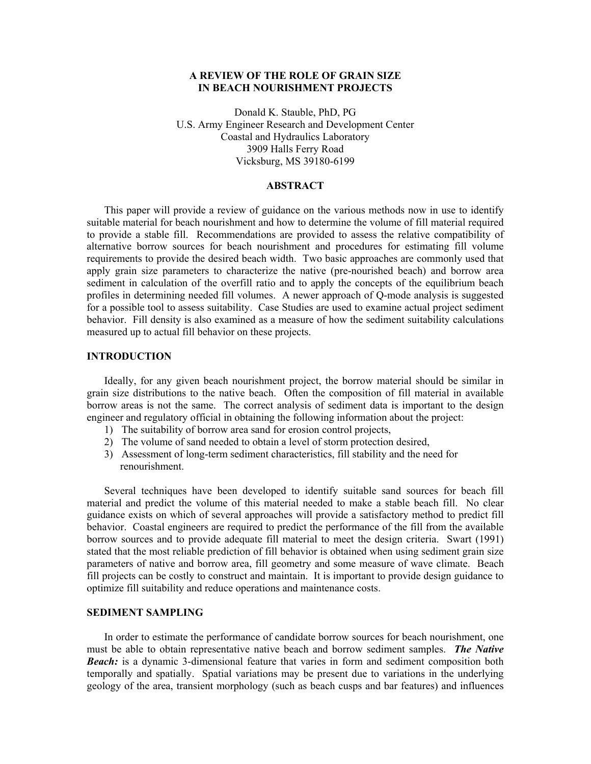# **A REVIEW OF THE ROLE OF GRAIN SIZE IN BEACH NOURISHMENT PROJECTS**

Donald K. Stauble, PhD, PG U.S. Army Engineer Research and Development Center Coastal and Hydraulics Laboratory 3909 Halls Ferry Road Vicksburg, MS 39180-6199

# **ABSTRACT**

This paper will provide a review of guidance on the various methods now in use to identify suitable material for beach nourishment and how to determine the volume of fill material required to provide a stable fill. Recommendations are provided to assess the relative compatibility of alternative borrow sources for beach nourishment and procedures for estimating fill volume requirements to provide the desired beach width. Two basic approaches are commonly used that apply grain size parameters to characterize the native (pre-nourished beach) and borrow area sediment in calculation of the overfill ratio and to apply the concepts of the equilibrium beach profiles in determining needed fill volumes. A newer approach of Q-mode analysis is suggested for a possible tool to assess suitability. Case Studies are used to examine actual project sediment behavior. Fill density is also examined as a measure of how the sediment suitability calculations measured up to actual fill behavior on these projects.

### **INTRODUCTION**

Ideally, for any given beach nourishment project, the borrow material should be similar in grain size distributions to the native beach. Often the composition of fill material in available borrow areas is not the same. The correct analysis of sediment data is important to the design engineer and regulatory official in obtaining the following information about the project:

- 1) The suitability of borrow area sand for erosion control projects,
- 2) The volume of sand needed to obtain a level of storm protection desired,
- 3) Assessment of long-term sediment characteristics, fill stability and the need for renourishment.

Several techniques have been developed to identify suitable sand sources for beach fill material and predict the volume of this material needed to make a stable beach fill. No clear guidance exists on which of several approaches will provide a satisfactory method to predict fill behavior. Coastal engineers are required to predict the performance of the fill from the available borrow sources and to provide adequate fill material to meet the design criteria. Swart (1991) stated that the most reliable prediction of fill behavior is obtained when using sediment grain size parameters of native and borrow area, fill geometry and some measure of wave climate. Beach fill projects can be costly to construct and maintain. It is important to provide design guidance to optimize fill suitability and reduce operations and maintenance costs.

# **SEDIMENT SAMPLING**

In order to estimate the performance of candidate borrow sources for beach nourishment, one must be able to obtain representative native beach and borrow sediment samples. *The Native Beach:* is a dynamic 3-dimensional feature that varies in form and sediment composition both temporally and spatially. Spatial variations may be present due to variations in the underlying geology of the area, transient morphology (such as beach cusps and bar features) and influences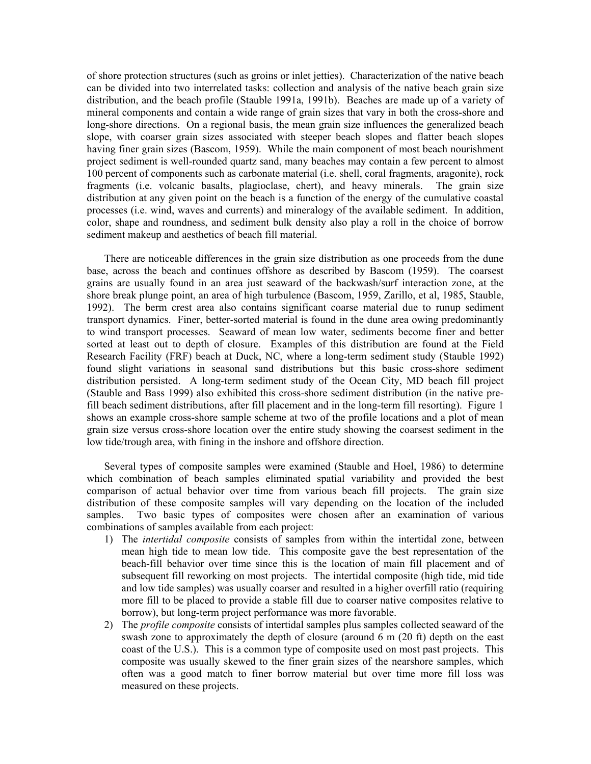of shore protection structures (such as groins or inlet jetties). Characterization of the native beach can be divided into two interrelated tasks: collection and analysis of the native beach grain size distribution, and the beach profile (Stauble 1991a, 1991b). Beaches are made up of a variety of mineral components and contain a wide range of grain sizes that vary in both the cross-shore and long-shore directions. On a regional basis, the mean grain size influences the generalized beach slope, with coarser grain sizes associated with steeper beach slopes and flatter beach slopes having finer grain sizes (Bascom, 1959). While the main component of most beach nourishment project sediment is well-rounded quartz sand, many beaches may contain a few percent to almost 100 percent of components such as carbonate material (i.e. shell, coral fragments, aragonite), rock fragments (i.e. volcanic basalts, plagioclase, chert), and heavy minerals. The grain size distribution at any given point on the beach is a function of the energy of the cumulative coastal processes (i.e. wind, waves and currents) and mineralogy of the available sediment. In addition, color, shape and roundness, and sediment bulk density also play a roll in the choice of borrow sediment makeup and aesthetics of beach fill material.

There are noticeable differences in the grain size distribution as one proceeds from the dune base, across the beach and continues offshore as described by Bascom (1959). The coarsest grains are usually found in an area just seaward of the backwash/surf interaction zone, at the shore break plunge point, an area of high turbulence (Bascom, 1959, Zarillo, et al, 1985, Stauble, 1992). The berm crest area also contains significant coarse material due to runup sediment transport dynamics. Finer, better-sorted material is found in the dune area owing predominantly to wind transport processes. Seaward of mean low water, sediments become finer and better sorted at least out to depth of closure. Examples of this distribution are found at the Field Research Facility (FRF) beach at Duck, NC, where a long-term sediment study (Stauble 1992) found slight variations in seasonal sand distributions but this basic cross-shore sediment distribution persisted. A long-term sediment study of the Ocean City, MD beach fill project (Stauble and Bass 1999) also exhibited this cross-shore sediment distribution (in the native prefill beach sediment distributions, after fill placement and in the long-term fill resorting). Figure 1 shows an example cross-shore sample scheme at two of the profile locations and a plot of mean grain size versus cross-shore location over the entire study showing the coarsest sediment in the low tide/trough area, with fining in the inshore and offshore direction.

Several types of composite samples were examined (Stauble and Hoel, 1986) to determine which combination of beach samples eliminated spatial variability and provided the best comparison of actual behavior over time from various beach fill projects. The grain size distribution of these composite samples will vary depending on the location of the included samples. Two basic types of composites were chosen after an examination of various combinations of samples available from each project:

- 1) The *intertidal composite* consists of samples from within the intertidal zone, between mean high tide to mean low tide. This composite gave the best representation of the beach-fill behavior over time since this is the location of main fill placement and of subsequent fill reworking on most projects. The intertidal composite (high tide, mid tide and low tide samples) was usually coarser and resulted in a higher overfill ratio (requiring more fill to be placed to provide a stable fill due to coarser native composites relative to borrow), but long-term project performance was more favorable.
- 2) The *profile composite* consists of intertidal samples plus samples collected seaward of the swash zone to approximately the depth of closure (around 6 m (20 ft) depth on the east coast of the U.S.). This is a common type of composite used on most past projects. This composite was usually skewed to the finer grain sizes of the nearshore samples, which often was a good match to finer borrow material but over time more fill loss was measured on these projects.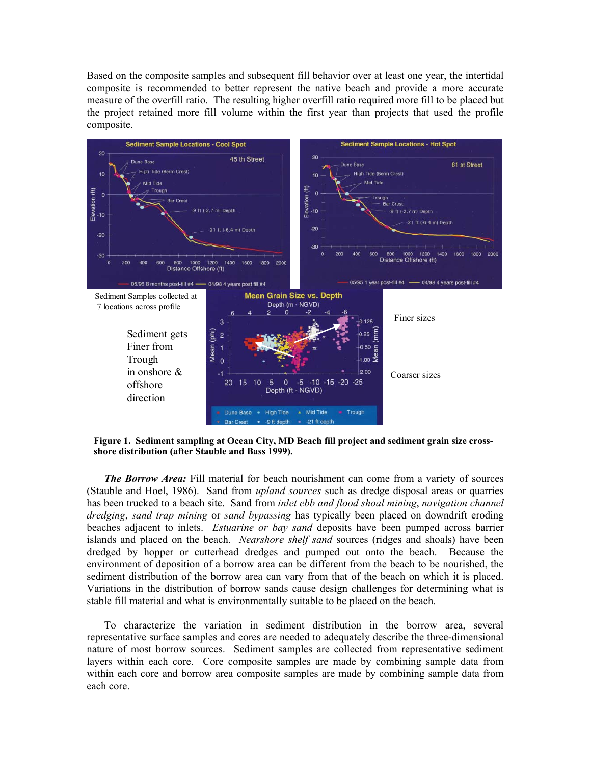Based on the composite samples and subsequent fill behavior over at least one year, the intertidal composite is recommended to better represent the native beach and provide a more accurate measure of the overfill ratio. The resulting higher overfill ratio required more fill to be placed but the project retained more fill volume within the first year than projects that used the profile composite.



**Figure 1. Sediment sampling at Ocean City, MD Beach fill project and sediment grain size crossshore distribution (after Stauble and Bass 1999).**

*The Borrow Area:* Fill material for beach nourishment can come from a variety of sources (Stauble and Hoel, 1986). Sand from *upland sources* such as dredge disposal areas or quarries has been trucked to a beach site. Sand from *inlet ebb and flood shoal mining*, *navigation channel dredging*, *sand trap mining* or *sand bypassing* has typically been placed on downdrift eroding beaches adjacent to inlets. *Estuarine or bay sand* deposits have been pumped across barrier islands and placed on the beach. *Nearshore shelf sand* sources (ridges and shoals) have been dredged by hopper or cutterhead dredges and pumped out onto the beach. Because the environment of deposition of a borrow area can be different from the beach to be nourished, the sediment distribution of the borrow area can vary from that of the beach on which it is placed. Variations in the distribution of borrow sands cause design challenges for determining what is stable fill material and what is environmentally suitable to be placed on the beach.

To characterize the variation in sediment distribution in the borrow area, several representative surface samples and cores are needed to adequately describe the three-dimensional nature of most borrow sources. Sediment samples are collected from representative sediment layers within each core. Core composite samples are made by combining sample data from within each core and borrow area composite samples are made by combining sample data from each core.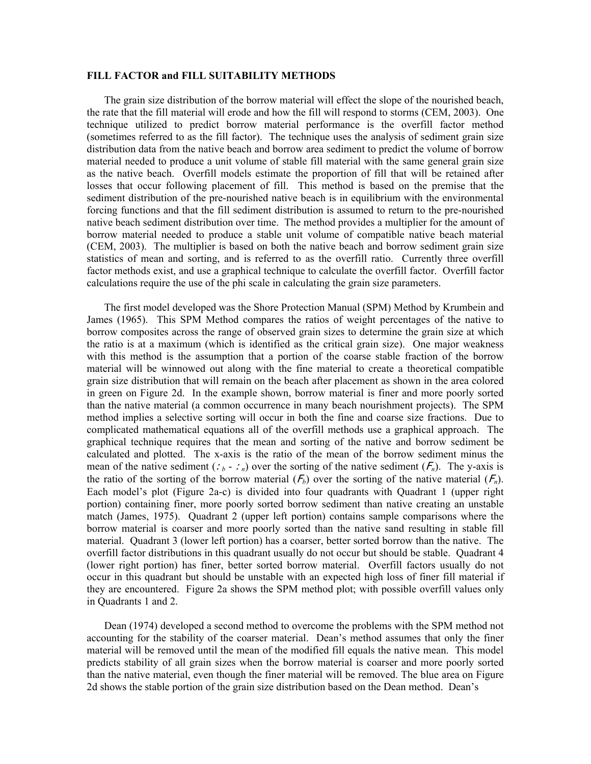#### **FILL FACTOR and FILL SUITABILITY METHODS**

The grain size distribution of the borrow material will effect the slope of the nourished beach, the rate that the fill material will erode and how the fill will respond to storms (CEM, 2003). One technique utilized to predict borrow material performance is the overfill factor method (sometimes referred to as the fill factor). The technique uses the analysis of sediment grain size distribution data from the native beach and borrow area sediment to predict the volume of borrow material needed to produce a unit volume of stable fill material with the same general grain size as the native beach. Overfill models estimate the proportion of fill that will be retained after losses that occur following placement of fill. This method is based on the premise that the sediment distribution of the pre-nourished native beach is in equilibrium with the environmental forcing functions and that the fill sediment distribution is assumed to return to the pre-nourished native beach sediment distribution over time. The method provides a multiplier for the amount of borrow material needed to produce a stable unit volume of compatible native beach material (CEM, 2003). The multiplier is based on both the native beach and borrow sediment grain size statistics of mean and sorting, and is referred to as the overfill ratio. Currently three overfill factor methods exist, and use a graphical technique to calculate the overfill factor. Overfill factor calculations require the use of the phi scale in calculating the grain size parameters.

The first model developed was the Shore Protection Manual (SPM) Method by Krumbein and James (1965). This SPM Method compares the ratios of weight percentages of the native to borrow composites across the range of observed grain sizes to determine the grain size at which the ratio is at a maximum (which is identified as the critical grain size). One major weakness with this method is the assumption that a portion of the coarse stable fraction of the borrow material will be winnowed out along with the fine material to create a theoretical compatible grain size distribution that will remain on the beach after placement as shown in the area colored in green on Figure 2d. In the example shown, borrow material is finer and more poorly sorted than the native material (a common occurrence in many beach nourishment projects). The SPM method implies a selective sorting will occur in both the fine and coarse size fractions. Due to complicated mathematical equations all of the overfill methods use a graphical approach. The graphical technique requires that the mean and sorting of the native and borrow sediment be calculated and plotted. The x-axis is the ratio of the mean of the borrow sediment minus the mean of the native sediment  $(i_b - i_n)$  over the sorting of the native sediment  $(F_n)$ . The y-axis is the ratio of the sorting of the borrow material  $(F_b)$  over the sorting of the native material  $(F_n)$ . Each model's plot (Figure 2a-c) is divided into four quadrants with Quadrant 1 (upper right portion) containing finer, more poorly sorted borrow sediment than native creating an unstable match (James, 1975). Quadrant 2 (upper left portion) contains sample comparisons where the borrow material is coarser and more poorly sorted than the native sand resulting in stable fill material. Quadrant 3 (lower left portion) has a coarser, better sorted borrow than the native. The overfill factor distributions in this quadrant usually do not occur but should be stable. Quadrant 4 (lower right portion) has finer, better sorted borrow material. Overfill factors usually do not occur in this quadrant but should be unstable with an expected high loss of finer fill material if they are encountered. Figure 2a shows the SPM method plot; with possible overfill values only in Quadrants 1 and 2.

Dean (1974) developed a second method to overcome the problems with the SPM method not accounting for the stability of the coarser material. Dean's method assumes that only the finer material will be removed until the mean of the modified fill equals the native mean. This model predicts stability of all grain sizes when the borrow material is coarser and more poorly sorted than the native material, even though the finer material will be removed. The blue area on Figure 2d shows the stable portion of the grain size distribution based on the Dean method. Dean's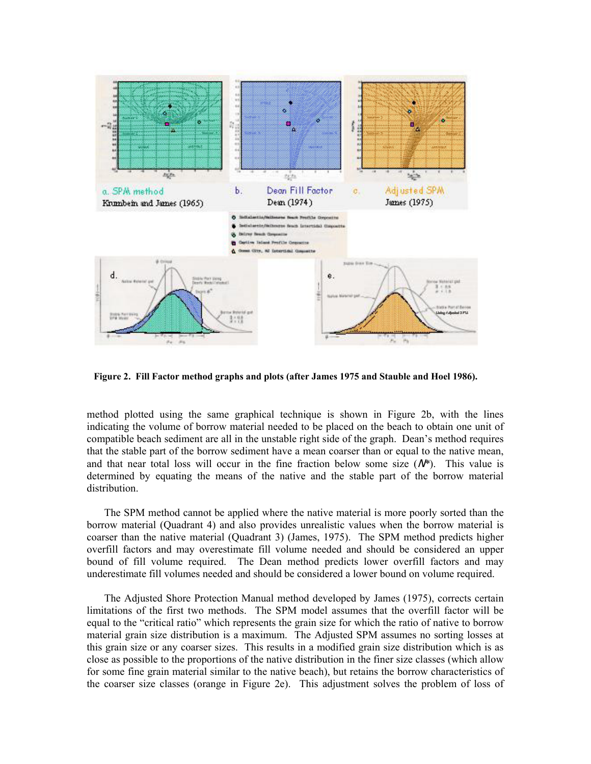

**Figure 2. Fill Factor method graphs and plots (after James 1975 and Stauble and Hoel 1986).** 

method plotted using the same graphical technique is shown in Figure 2b, with the lines indicating the volume of borrow material needed to be placed on the beach to obtain one unit of compatible beach sediment are all in the unstable right side of the graph. Dean's method requires that the stable part of the borrow sediment have a mean coarser than or equal to the native mean, and that near total loss will occur in the fine fraction below some size  $(N^*)$ . This value is determined by equating the means of the native and the stable part of the borrow material distribution.

The SPM method cannot be applied where the native material is more poorly sorted than the borrow material (Quadrant 4) and also provides unrealistic values when the borrow material is coarser than the native material (Quadrant 3) (James, 1975). The SPM method predicts higher overfill factors and may overestimate fill volume needed and should be considered an upper bound of fill volume required. The Dean method predicts lower overfill factors and may underestimate fill volumes needed and should be considered a lower bound on volume required.

The Adjusted Shore Protection Manual method developed by James (1975), corrects certain limitations of the first two methods. The SPM model assumes that the overfill factor will be equal to the "critical ratio" which represents the grain size for which the ratio of native to borrow material grain size distribution is a maximum. The Adjusted SPM assumes no sorting losses at this grain size or any coarser sizes. This results in a modified grain size distribution which is as close as possible to the proportions of the native distribution in the finer size classes (which allow for some fine grain material similar to the native beach), but retains the borrow characteristics of the coarser size classes (orange in Figure 2e). This adjustment solves the problem of loss of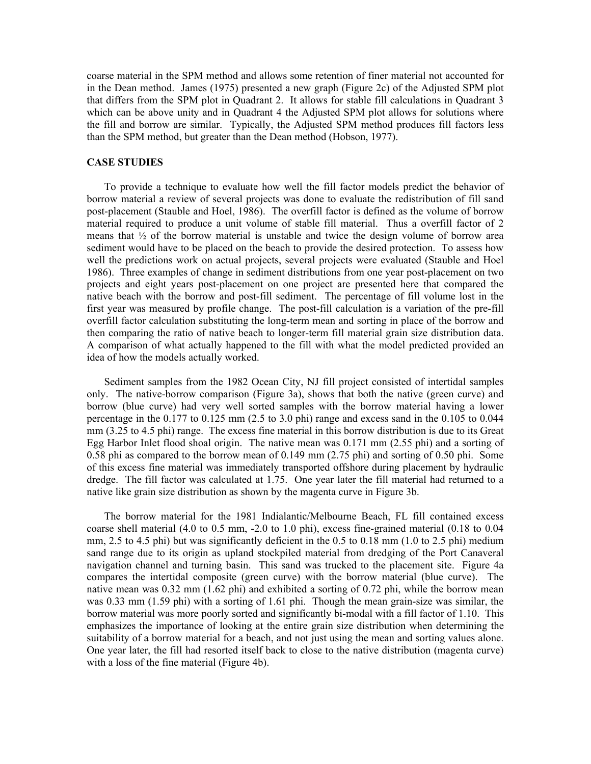coarse material in the SPM method and allows some retention of finer material not accounted for in the Dean method. James (1975) presented a new graph (Figure 2c) of the Adjusted SPM plot that differs from the SPM plot in Quadrant 2. It allows for stable fill calculations in Quadrant 3 which can be above unity and in Quadrant 4 the Adjusted SPM plot allows for solutions where the fill and borrow are similar. Typically, the Adjusted SPM method produces fill factors less than the SPM method, but greater than the Dean method (Hobson, 1977).

### **CASE STUDIES**

To provide a technique to evaluate how well the fill factor models predict the behavior of borrow material a review of several projects was done to evaluate the redistribution of fill sand post-placement (Stauble and Hoel, 1986). The overfill factor is defined as the volume of borrow material required to produce a unit volume of stable fill material. Thus a overfill factor of 2 means that  $\frac{1}{2}$  of the borrow material is unstable and twice the design volume of borrow area sediment would have to be placed on the beach to provide the desired protection. To assess how well the predictions work on actual projects, several projects were evaluated (Stauble and Hoel 1986). Three examples of change in sediment distributions from one year post-placement on two projects and eight years post-placement on one project are presented here that compared the native beach with the borrow and post-fill sediment. The percentage of fill volume lost in the first year was measured by profile change. The post-fill calculation is a variation of the pre-fill overfill factor calculation substituting the long-term mean and sorting in place of the borrow and then comparing the ratio of native beach to longer-term fill material grain size distribution data. A comparison of what actually happened to the fill with what the model predicted provided an idea of how the models actually worked.

Sediment samples from the 1982 Ocean City, NJ fill project consisted of intertidal samples only. The native-borrow comparison (Figure 3a), shows that both the native (green curve) and borrow (blue curve) had very well sorted samples with the borrow material having a lower percentage in the 0.177 to 0.125 mm (2.5 to 3.0 phi) range and excess sand in the 0.105 to 0.044 mm (3.25 to 4.5 phi) range. The excess fine material in this borrow distribution is due to its Great Egg Harbor Inlet flood shoal origin. The native mean was 0.171 mm (2.55 phi) and a sorting of 0.58 phi as compared to the borrow mean of 0.149 mm (2.75 phi) and sorting of 0.50 phi. Some of this excess fine material was immediately transported offshore during placement by hydraulic dredge. The fill factor was calculated at 1.75. One year later the fill material had returned to a native like grain size distribution as shown by the magenta curve in Figure 3b.

The borrow material for the 1981 Indialantic/Melbourne Beach, FL fill contained excess coarse shell material (4.0 to 0.5 mm, -2.0 to 1.0 phi), excess fine-grained material (0.18 to 0.04 mm, 2.5 to 4.5 phi) but was significantly deficient in the 0.5 to 0.18 mm (1.0 to 2.5 phi) medium sand range due to its origin as upland stockpiled material from dredging of the Port Canaveral navigation channel and turning basin. This sand was trucked to the placement site. Figure 4a compares the intertidal composite (green curve) with the borrow material (blue curve). The native mean was 0.32 mm (1.62 phi) and exhibited a sorting of 0.72 phi, while the borrow mean was 0.33 mm (1.59 phi) with a sorting of 1.61 phi. Though the mean grain-size was similar, the borrow material was more poorly sorted and significantly bi-modal with a fill factor of 1.10. This emphasizes the importance of looking at the entire grain size distribution when determining the suitability of a borrow material for a beach, and not just using the mean and sorting values alone. One year later, the fill had resorted itself back to close to the native distribution (magenta curve) with a loss of the fine material (Figure 4b).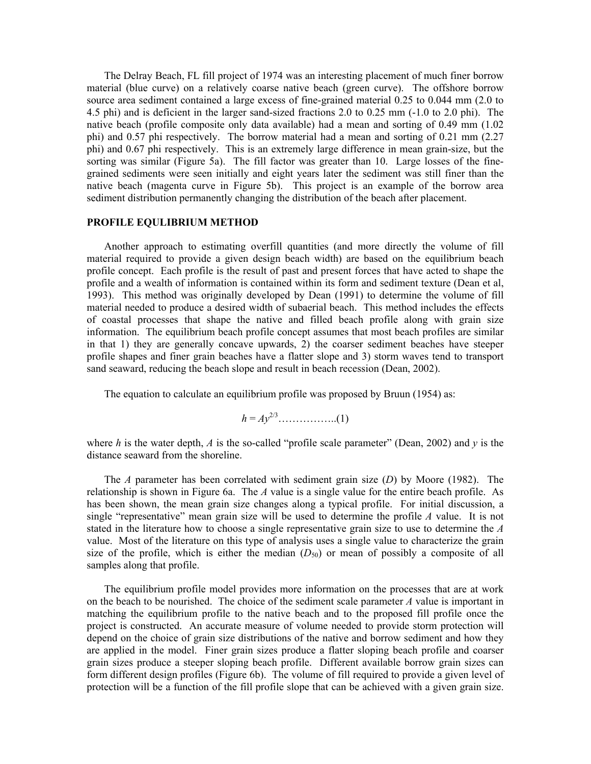The Delray Beach, FL fill project of 1974 was an interesting placement of much finer borrow material (blue curve) on a relatively coarse native beach (green curve). The offshore borrow source area sediment contained a large excess of fine-grained material 0.25 to 0.044 mm (2.0 to 4.5 phi) and is deficient in the larger sand-sized fractions 2.0 to 0.25 mm (-1.0 to 2.0 phi). The native beach (profile composite only data available) had a mean and sorting of 0.49 mm (1.02 phi) and 0.57 phi respectively. The borrow material had a mean and sorting of 0.21 mm (2.27 phi) and 0.67 phi respectively. This is an extremely large difference in mean grain-size, but the sorting was similar (Figure 5a). The fill factor was greater than 10. Large losses of the finegrained sediments were seen initially and eight years later the sediment was still finer than the native beach (magenta curve in Figure 5b). This project is an example of the borrow area sediment distribution permanently changing the distribution of the beach after placement.

# **PROFILE EQULIBRIUM METHOD**

Another approach to estimating overfill quantities (and more directly the volume of fill material required to provide a given design beach width) are based on the equilibrium beach profile concept. Each profile is the result of past and present forces that have acted to shape the profile and a wealth of information is contained within its form and sediment texture (Dean et al, 1993). This method was originally developed by Dean (1991) to determine the volume of fill material needed to produce a desired width of subaerial beach. This method includes the effects of coastal processes that shape the native and filled beach profile along with grain size information. The equilibrium beach profile concept assumes that most beach profiles are similar in that 1) they are generally concave upwards, 2) the coarser sediment beaches have steeper profile shapes and finer grain beaches have a flatter slope and 3) storm waves tend to transport sand seaward, reducing the beach slope and result in beach recession (Dean, 2002).

The equation to calculate an equilibrium profile was proposed by Bruun (1954) as:

$$
h = Ay^{2/3}
$$
............(1)

where *h* is the water depth, *A* is the so-called "profile scale parameter" (Dean, 2002) and *y* is the distance seaward from the shoreline.

The *A* parameter has been correlated with sediment grain size (*D*) by Moore (1982). The relationship is shown in Figure 6a. The *A* value is a single value for the entire beach profile. As has been shown, the mean grain size changes along a typical profile.For initial discussion, a single "representative" mean grain size will be used to determine the profile *A* value. It is not stated in the literature how to choose a single representative grain size to use to determine the *A* value. Most of the literature on this type of analysis uses a single value to characterize the grain size of the profile, which is either the median  $(D_{50})$  or mean of possibly a composite of all samples along that profile.

The equilibrium profile model provides more information on the processes that are at work on the beach to be nourished. The choice of the sediment scale parameter *A* value is important in matching the equilibrium profile to the native beach and to the proposed fill profile once the project is constructed. An accurate measure of volume needed to provide storm protection will depend on the choice of grain size distributions of the native and borrow sediment and how they are applied in the model. Finer grain sizes produce a flatter sloping beach profile and coarser grain sizes produce a steeper sloping beach profile. Different available borrow grain sizes can form different design profiles (Figure 6b). The volume of fill required to provide a given level of protection will be a function of the fill profile slope that can be achieved with a given grain size.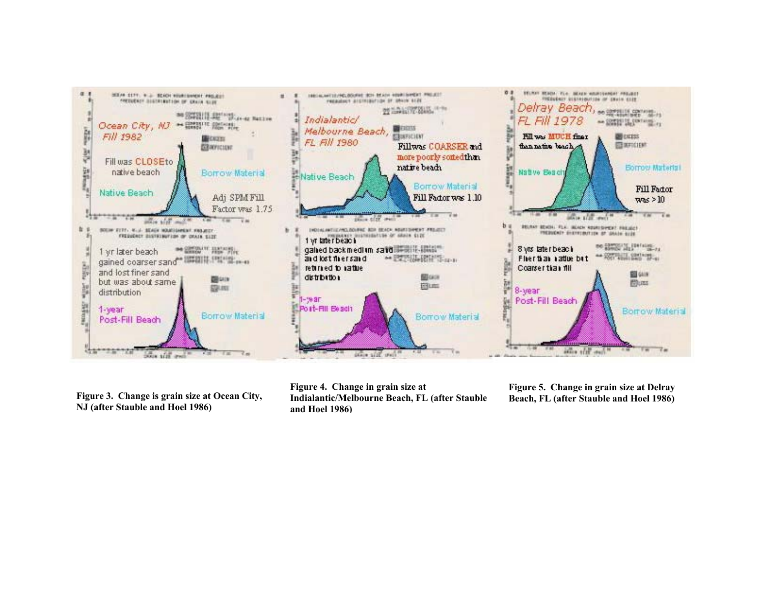

**Figure 3. Change is grain size at Ocean Cit y, NJ (after Stauble and Hoel 1986)**

**Figure 4. Change in grain size at Indialantic/Melbourne Beach, FL (after Stauble and Hoel 1986)**

**Figure 5. Change in grain size at Delray Beach, FL (after Stauble and Hoel 1986)**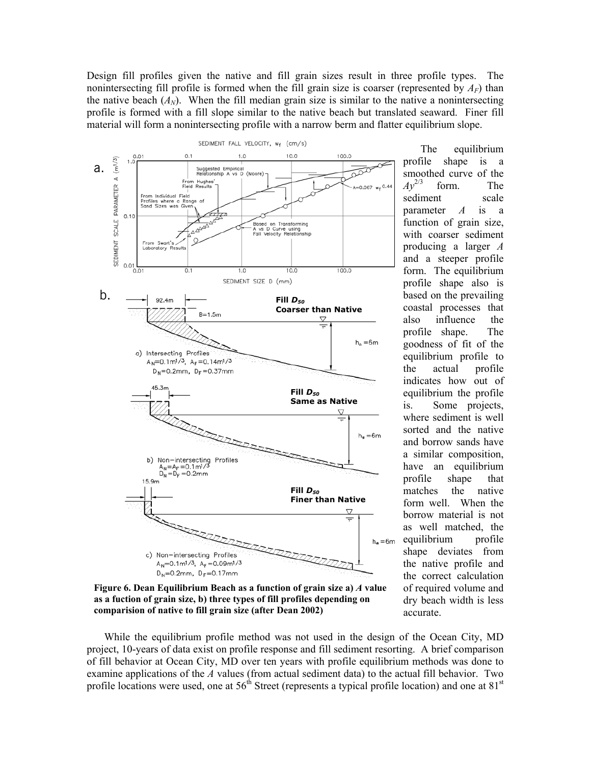Design fill profiles given the native and fill grain sizes result in three profile types. The nonintersecting fill profile is formed when the fill grain size is coarser (represented by  $A_F$ ) than the native beach  $(A_N)$ . When the fill median grain size is similar to the native a nonintersecting profile is formed with a fill slope similar to the native beach but translated seaward. Finer fill material will form a nonintersecting profile with a narrow berm and flatter equilibrium slope.



The equilibrium profile shape is a smoothed curve of the  $Av^{2/3}$  form. The form. The sediment scale parameter *A* is a function of grain size, with coarser sediment producing a larger *A* and a steeper profile form. The equilibrium profile shape also is based on the prevailing coastal processes that also influence the profile shape. The goodness of fit of the equilibrium profile to the actual profile indicates how out of equilibrium the profile is. Some projects, where sediment is well sorted and the native and borrow sands have a similar composition, have an equilibrium profile shape that matches the native form well. When the borrow material is not as well matched, the equilibrium profile shape deviates from the native profile and the correct calculation of required volume and dry beach width is less accurate.

**Figure 6. Dean Equilibrium Beach as a function of grain size a)** *A* **value as a fuction of grain size, b) three types of fill profiles depending on comparision of native to fill grain size (after Dean 2002)** 

While the equilibrium profile method was not used in the design of the Ocean City, MD project, 10-years of data exist on profile response and fill sediment resorting. A brief comparison of fill behavior at Ocean City, MD over ten years with profile equilibrium methods was done to examine applications of the *A* values (from actual sediment data) to the actual fill behavior. Two profile locations were used, one at  $56<sup>th</sup>$  Street (represents a typical profile location) and one at  $81<sup>st</sup>$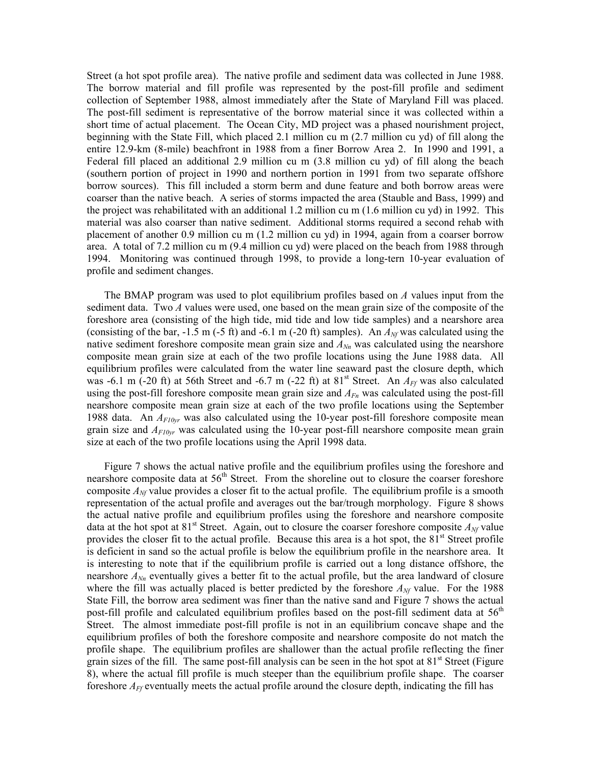Street (a hot spot profile area). The native profile and sediment data was collected in June 1988. The borrow material and fill profile was represented by the post-fill profile and sediment collection of September 1988, almost immediately after the State of Maryland Fill was placed. The post-fill sediment is representative of the borrow material since it was collected within a short time of actual placement. The Ocean City, MD project was a phased nourishment project, beginning with the State Fill, which placed 2.1 million cu m (2.7 million cu yd) of fill along the entire 12.9-km (8-mile) beachfront in 1988 from a finer Borrow Area 2. In 1990 and 1991, a Federal fill placed an additional 2.9 million cu m (3.8 million cu yd) of fill along the beach (southern portion of project in 1990 and northern portion in 1991 from two separate offshore borrow sources). This fill included a storm berm and dune feature and both borrow areas were coarser than the native beach. A series of storms impacted the area (Stauble and Bass, 1999) and the project was rehabilitated with an additional 1.2 million cu m (1.6 million cu yd) in 1992. This material was also coarser than native sediment. Additional storms required a second rehab with placement of another 0.9 million cu m (1.2 million cu yd) in 1994, again from a coarser borrow area. A total of 7.2 million cu m (9.4 million cu yd) were placed on the beach from 1988 through 1994. Monitoring was continued through 1998, to provide a long-tern 10-year evaluation of profile and sediment changes.

The BMAP program was used to plot equilibrium profiles based on *A* values input from the sediment data. Two *A* values were used, one based on the mean grain size of the composite of the foreshore area (consisting of the high tide, mid tide and low tide samples) and a nearshore area (consisting of the bar,  $-1.5$  m ( $-5$  ft) and  $-6.1$  m ( $-20$  ft) samples). An  $A_{\text{M}}$  was calculated using the native sediment foreshore composite mean grain size and  $A_{Nn}$  was calculated using the nearshore composite mean grain size at each of the two profile locations using the June 1988 data. All equilibrium profiles were calculated from the water line seaward past the closure depth, which was -6.1 m (-20 ft) at 56th Street and -6.7 m (-22 ft) at  $81<sup>st</sup>$  Street. An  $A<sub>FF</sub>$  was also calculated using the post-fill foreshore composite mean grain size and  $A_{Fn}$  was calculated using the post-fill nearshore composite mean grain size at each of the two profile locations using the September 1988 data. An *AF10yr* was also calculated using the 10-year post-fill foreshore composite mean grain size and *AF10yr* was calculated using the 10-year post-fill nearshore composite mean grain size at each of the two profile locations using the April 1998 data.

Figure 7 shows the actual native profile and the equilibrium profiles using the foreshore and nearshore composite data at  $56<sup>th</sup>$  Street. From the shoreline out to closure the coarser foreshore composite  $A_N$  value provides a closer fit to the actual profile. The equilibrium profile is a smooth representation of the actual profile and averages out the bar/trough morphology. Figure 8 shows the actual native profile and equilibrium profiles using the foreshore and nearshore composite data at the hot spot at 81<sup>st</sup> Street. Again, out to closure the coarser foreshore composite  $A_{\text{M}'}$  value provides the closer fit to the actual profile. Because this area is a hot spot, the  $81<sup>st</sup>$  Street profile is deficient in sand so the actual profile is below the equilibrium profile in the nearshore area. It is interesting to note that if the equilibrium profile is carried out a long distance offshore, the nearshore  $A_{Nn}$  eventually gives a better fit to the actual profile, but the area landward of closure where the fill was actually placed is better predicted by the foreshore  $A_N$  value. For the 1988 State Fill, the borrow area sediment was finer than the native sand and Figure 7 shows the actual post-fill profile and calculated equilibrium profiles based on the post-fill sediment data at 56<sup>th</sup> Street. The almost immediate post-fill profile is not in an equilibrium concave shape and the equilibrium profiles of both the foreshore composite and nearshore composite do not match the profile shape. The equilibrium profiles are shallower than the actual profile reflecting the finer grain sizes of the fill. The same post-fill analysis can be seen in the hot spot at  $81<sup>st</sup>$  Street (Figure 8), where the actual fill profile is much steeper than the equilibrium profile shape. The coarser foreshore *AFf* eventually meets the actual profile around the closure depth, indicating the fill has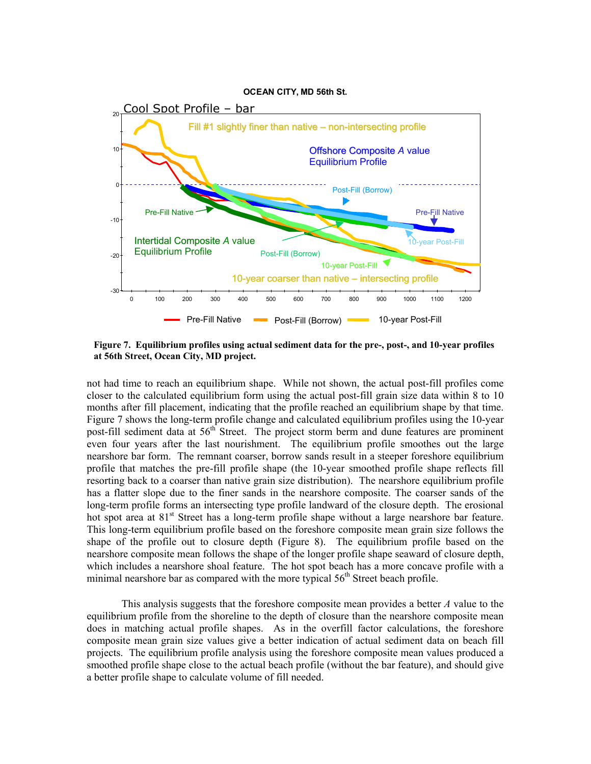

**Figure 7. Equilibrium profiles using actual sediment data for the pre-, post-, and 10-year profiles at 56th Street, Ocean City, MD project.**

not had time to reach an equilibrium shape. While not shown, the actual post-fill profiles come closer to the calculated equilibrium form using the actual post-fill grain size data within 8 to 10 months after fill placement, indicating that the profile reached an equilibrium shape by that time. Figure 7 shows the long-term profile change and calculated equilibrium profiles using the 10-year post-fill sediment data at 56<sup>th</sup> Street. The project storm berm and dune features are prominent even four years after the last nourishment. The equilibrium profile smoothes out the large nearshore bar form. The remnant coarser, borrow sands result in a steeper foreshore equilibrium profile that matches the pre-fill profile shape (the 10-year smoothed profile shape reflects fill resorting back to a coarser than native grain size distribution). The nearshore equilibrium profile has a flatter slope due to the finer sands in the nearshore composite. The coarser sands of the long-term profile forms an intersecting type profile landward of the closure depth. The erosional hot spot area at 81<sup>st</sup> Street has a long-term profile shape without a large nearshore bar feature. This long-term equilibrium profile based on the foreshore composite mean grain size follows the shape of the profile out to closure depth (Figure 8). The equilibrium profile based on the nearshore composite mean follows the shape of the longer profile shape seaward of closure depth, which includes a nearshore shoal feature. The hot spot beach has a more concave profile with a minimal nearshore bar as compared with the more typical  $56<sup>th</sup>$  Street beach profile.

This analysis suggests that the foreshore composite mean provides a better *A* value to the equilibrium profile from the shoreline to the depth of closure than the nearshore composite mean does in matching actual profile shapes. As in the overfill factor calculations, the foreshore composite mean grain size values give a better indication of actual sediment data on beach fill projects. The equilibrium profile analysis using the foreshore composite mean values produced a smoothed profile shape close to the actual beach profile (without the bar feature), and should give a better profile shape to calculate volume of fill needed.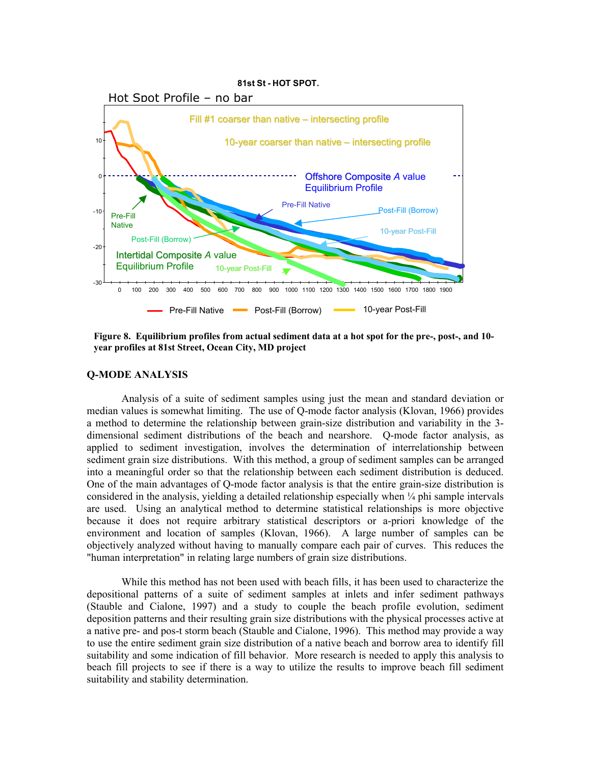

**Figure 8. Equilibrium profiles from actual sediment data at a hot spot for the pre-, post-, and 10 year profiles at 81st Street, Ocean City, MD project**

### **Q-MODE ANALYSIS**

Analysis of a suite of sediment samples using just the mean and standard deviation or median values is somewhat limiting. The use of Q-mode factor analysis (Klovan, 1966) provides a method to determine the relationship between grain-size distribution and variability in the 3 dimensional sediment distributions of the beach and nearshore. Q-mode factor analysis, as applied to sediment investigation, involves the determination of interrelationship between sediment grain size distributions. With this method, a group of sediment samples can be arranged into a meaningful order so that the relationship between each sediment distribution is deduced. One of the main advantages of Q-mode factor analysis is that the entire grain-size distribution is considered in the analysis, yielding a detailed relationship especially when ¼ phi sample intervals are used. Using an analytical method to determine statistical relationships is more objective because it does not require arbitrary statistical descriptors or a-priori knowledge of the environment and location of samples (Klovan, 1966). A large number of samples can be objectively analyzed without having to manually compare each pair of curves. This reduces the "human interpretation" in relating large numbers of grain size distributions.

While this method has not been used with beach fills, it has been used to characterize the depositional patterns of a suite of sediment samples at inlets and infer sediment pathways (Stauble and Cialone, 1997) and a study to couple the beach profile evolution, sediment deposition patterns and their resulting grain size distributions with the physical processes active at a native pre- and pos-t storm beach (Stauble and Cialone, 1996). This method may provide a way to use the entire sediment grain size distribution of a native beach and borrow area to identify fill suitability and some indication of fill behavior. More research is needed to apply this analysis to beach fill projects to see if there is a way to utilize the results to improve beach fill sediment suitability and stability determination.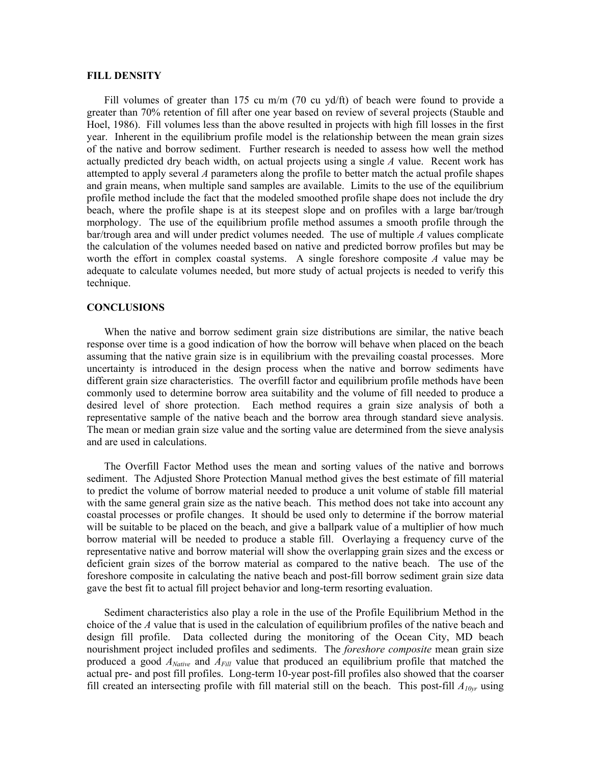### **FILL DENSITY**

Fill volumes of greater than 175 cu m/m (70 cu yd/ft) of beach were found to provide a greater than 70% retention of fill after one year based on review of several projects (Stauble and Hoel, 1986). Fill volumes less than the above resulted in projects with high fill losses in the first year. Inherent in the equilibrium profile model is the relationship between the mean grain sizes of the native and borrow sediment. Further research is needed to assess how well the method actually predicted dry beach width, on actual projects using a single *A* value. Recent work has attempted to apply several *A* parameters along the profile to better match the actual profile shapes and grain means, when multiple sand samples are available. Limits to the use of the equilibrium profile method include the fact that the modeled smoothed profile shape does not include the dry beach, where the profile shape is at its steepest slope and on profiles with a large bar/trough morphology. The use of the equilibrium profile method assumes a smooth profile through the bar/trough area and will under predict volumes needed. The use of multiple *A* values complicate the calculation of the volumes needed based on native and predicted borrow profiles but may be worth the effort in complex coastal systems. A single foreshore composite *A* value may be adequate to calculate volumes needed, but more study of actual projects is needed to verify this technique.

# **CONCLUSIONS**

When the native and borrow sediment grain size distributions are similar, the native beach response over time is a good indication of how the borrow will behave when placed on the beach assuming that the native grain size is in equilibrium with the prevailing coastal processes. More uncertainty is introduced in the design process when the native and borrow sediments have different grain size characteristics. The overfill factor and equilibrium profile methods have been commonly used to determine borrow area suitability and the volume of fill needed to produce a desired level of shore protection. Each method requires a grain size analysis of both a representative sample of the native beach and the borrow area through standard sieve analysis. The mean or median grain size value and the sorting value are determined from the sieve analysis and are used in calculations.

The Overfill Factor Method uses the mean and sorting values of the native and borrows sediment. The Adjusted Shore Protection Manual method gives the best estimate of fill material to predict the volume of borrow material needed to produce a unit volume of stable fill material with the same general grain size as the native beach. This method does not take into account any coastal processes or profile changes. It should be used only to determine if the borrow material will be suitable to be placed on the beach, and give a ballpark value of a multiplier of how much borrow material will be needed to produce a stable fill. Overlaying a frequency curve of the representative native and borrow material will show the overlapping grain sizes and the excess or deficient grain sizes of the borrow material as compared to the native beach. The use of the foreshore composite in calculating the native beach and post-fill borrow sediment grain size data gave the best fit to actual fill project behavior and long-term resorting evaluation.

Sediment characteristics also play a role in the use of the Profile Equilibrium Method in the choice of the *A* value that is used in the calculation of equilibrium profiles of the native beach and design fill profile. Data collected during the monitoring of the Ocean City, MD beach nourishment project included profiles and sediments. The *foreshore composite* mean grain size produced a good *ANative* and *AFill* value that produced an equilibrium profile that matched the actual pre- and post fill profiles. Long-term 10-year post-fill profiles also showed that the coarser fill created an intersecting profile with fill material still on the beach. This post-fill *A10yr* using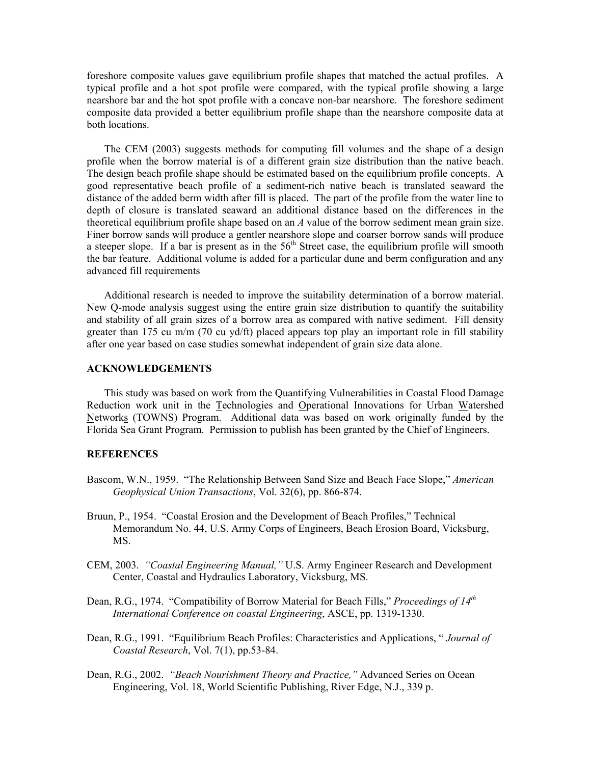foreshore composite values gave equilibrium profile shapes that matched the actual profiles. A typical profile and a hot spot profile were compared, with the typical profile showing a large nearshore bar and the hot spot profile with a concave non-bar nearshore. The foreshore sediment composite data provided a better equilibrium profile shape than the nearshore composite data at both locations.

The CEM (2003) suggests methods for computing fill volumes and the shape of a design profile when the borrow material is of a different grain size distribution than the native beach. The design beach profile shape should be estimated based on the equilibrium profile concepts. A good representative beach profile of a sediment-rich native beach is translated seaward the distance of the added berm width after fill is placed. The part of the profile from the water line to depth of closure is translated seaward an additional distance based on the differences in the theoretical equilibrium profile shape based on an *A* value of the borrow sediment mean grain size. Finer borrow sands will produce a gentler nearshore slope and coarser borrow sands will produce a steeper slope. If a bar is present as in the  $56<sup>th</sup>$  Street case, the equilibrium profile will smooth the bar feature. Additional volume is added for a particular dune and berm configuration and any advanced fill requirements

Additional research is needed to improve the suitability determination of a borrow material. New Q-mode analysis suggest using the entire grain size distribution to quantify the suitability and stability of all grain sizes of a borrow area as compared with native sediment. Fill density greater than 175 cu m/m (70 cu yd/ft) placed appears top play an important role in fill stability after one year based on case studies somewhat independent of grain size data alone.

### **ACKNOWLEDGEMENTS**

This study was based on work from the Quantifying Vulnerabilities in Coastal Flood Damage Reduction work unit in the Technologies and Operational Innovations for Urban Watershed Networks (TOWNS) Program. Additional data was based on work originally funded by the Florida Sea Grant Program. Permission to publish has been granted by the Chief of Engineers.

#### **REFERENCES**

- Bascom, W.N., 1959. "The Relationship Between Sand Size and Beach Face Slope," *American Geophysical Union Transactions*, Vol. 32(6), pp. 866-874.
- Bruun, P., 1954. "Coastal Erosion and the Development of Beach Profiles," Technical Memorandum No. 44, U.S. Army Corps of Engineers, Beach Erosion Board, Vicksburg, MS.
- CEM, 2003. *"Coastal Engineering Manual,"* U.S. Army Engineer Research and Development Center, Coastal and Hydraulics Laboratory, Vicksburg, MS.
- Dean, R.G., 1974. "Compatibility of Borrow Material for Beach Fills," *Proceedings of 14th International Conference on coastal Engineering*, ASCE, pp. 1319-1330.
- Dean, R.G., 1991. "Equilibrium Beach Profiles: Characteristics and Applications, " *Journal of Coastal Research*, Vol. 7(1), pp.53-84.
- Dean, R.G., 2002. *"Beach Nourishment Theory and Practice,"* Advanced Series on Ocean Engineering, Vol. 18, World Scientific Publishing, River Edge, N.J., 339 p.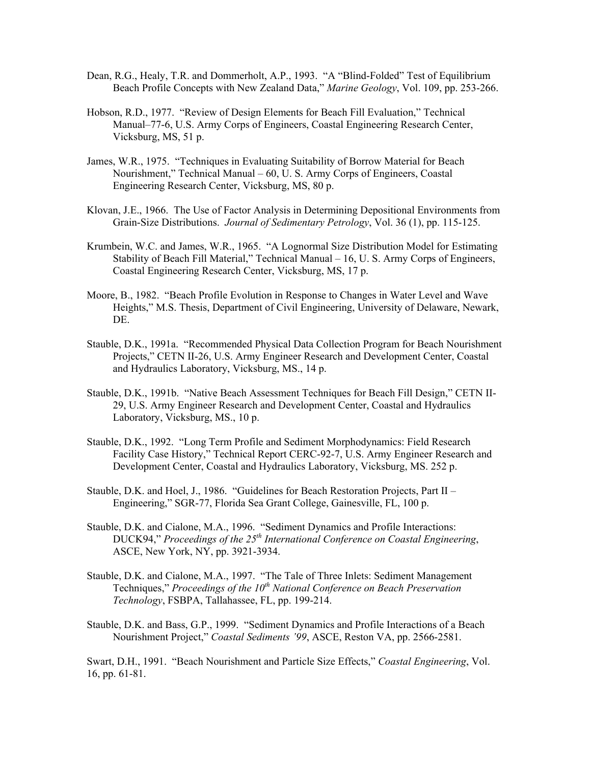- Dean, R.G., Healy, T.R. and Dommerholt, A.P., 1993. "A "Blind-Folded" Test of Equilibrium Beach Profile Concepts with New Zealand Data," *Marine Geology*, Vol. 109, pp. 253-266.
- Hobson, R.D., 1977. "Review of Design Elements for Beach Fill Evaluation," Technical Manual–77-6, U.S. Army Corps of Engineers, Coastal Engineering Research Center, Vicksburg, MS, 51 p.
- James, W.R., 1975. "Techniques in Evaluating Suitability of Borrow Material for Beach Nourishment," Technical Manual – 60, U. S. Army Corps of Engineers, Coastal Engineering Research Center, Vicksburg, MS, 80 p.
- Klovan, J.E., 1966. The Use of Factor Analysis in Determining Depositional Environments from Grain-Size Distributions. *Journal of Sedimentary Petrology*, Vol. 36 (1), pp. 115-125.
- Krumbein, W.C. and James, W.R., 1965. "A Lognormal Size Distribution Model for Estimating Stability of Beach Fill Material," Technical Manual – 16, U. S. Army Corps of Engineers, Coastal Engineering Research Center, Vicksburg, MS, 17 p.
- Moore, B., 1982. "Beach Profile Evolution in Response to Changes in Water Level and Wave Heights," M.S. Thesis, Department of Civil Engineering, University of Delaware, Newark, DE.
- Stauble, D.K., 1991a. "Recommended Physical Data Collection Program for Beach Nourishment Projects," CETN II-26, U.S. Army Engineer Research and Development Center, Coastal and Hydraulics Laboratory, Vicksburg, MS., 14 p.
- Stauble, D.K., 1991b. "Native Beach Assessment Techniques for Beach Fill Design," CETN II-29, U.S. Army Engineer Research and Development Center, Coastal and Hydraulics Laboratory, Vicksburg, MS., 10 p.
- Stauble, D.K., 1992. "Long Term Profile and Sediment Morphodynamics: Field Research Facility Case History," Technical Report CERC-92-7, U.S. Army Engineer Research and Development Center, Coastal and Hydraulics Laboratory, Vicksburg, MS. 252 p.
- Stauble, D.K. and Hoel, J., 1986. "Guidelines for Beach Restoration Projects, Part II Engineering," SGR-77, Florida Sea Grant College, Gainesville, FL, 100 p.
- Stauble, D.K. and Cialone, M.A., 1996. "Sediment Dynamics and Profile Interactions: DUCK94," *Proceedings of the 25th International Conference on Coastal Engineering*, ASCE, New York, NY, pp. 3921-3934.
- Stauble, D.K. and Cialone, M.A., 1997. "The Tale of Three Inlets: Sediment Management Techniques," *Proceedings of the 10<sup>th</sup> National Conference on Beach Preservation Technology*, FSBPA, Tallahassee, FL, pp. 199-214.
- Stauble, D.K. and Bass, G.P., 1999. "Sediment Dynamics and Profile Interactions of a Beach Nourishment Project," *Coastal Sediments '99*, ASCE, Reston VA, pp. 2566-2581.

Swart, D.H., 1991. "Beach Nourishment and Particle Size Effects," *Coastal Engineering*, Vol. 16, pp. 61-81.